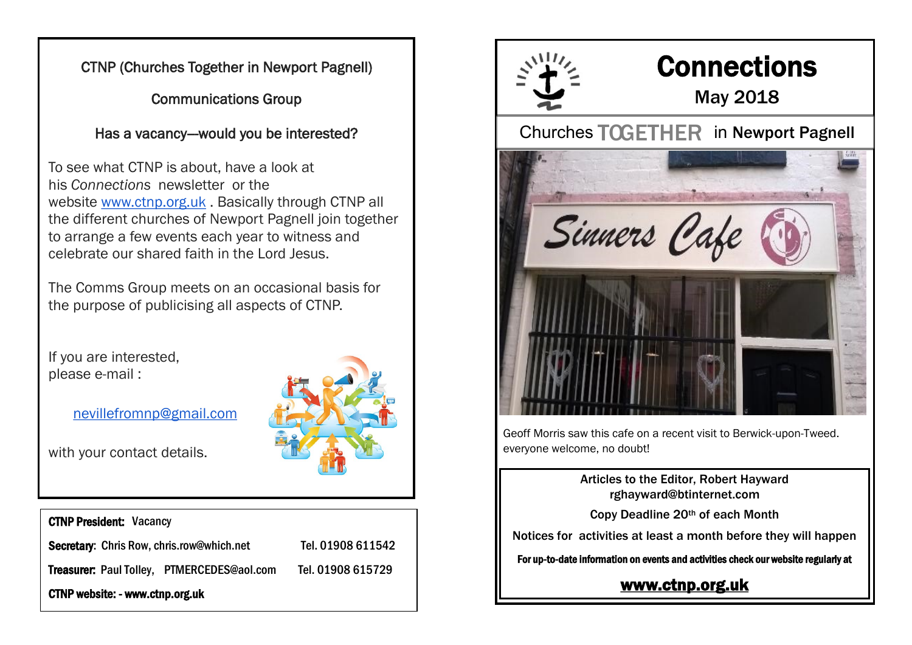CTNP (Churches Together in Newport Pagnell)

Communications Group

Has a vacancy--would you be interested?

To see what CTNP is about, have a look at his *Connections* newsletter or the website [www.ctnp.org.uk](http://www.ctnp.org.uk/) . Basically through CTNP all the different churches of Newport Pagnell join together to arrange a few events each year to witness and celebrate our shared faith in the Lord Jesus.

The Comms Group meets on an occasional basis for the purpose of publicising all aspects of CTNP.

If you are interested, please e-mail :

[nevillefromnp@gmail.com](mailto:nevillefromnp@gmail.com)

with your contact details.





# **Connections**

## May 2018

Churches TOGETHER in Newport Pagnell



Geoff Morris saw this cafe on a recent visit to Berwick-upon-Tweed. everyone welcome, no doubt!

> Articles to the Editor, Robert Hayward rghayward@btinternet.com

Copy Deadline 20th of each Month

Notices for activities at least a month before they will happen

For up-to-date information on events and activities check our website regularly at

#### [www.ctnp.org.uk](http://www.ctnp.org.uk)